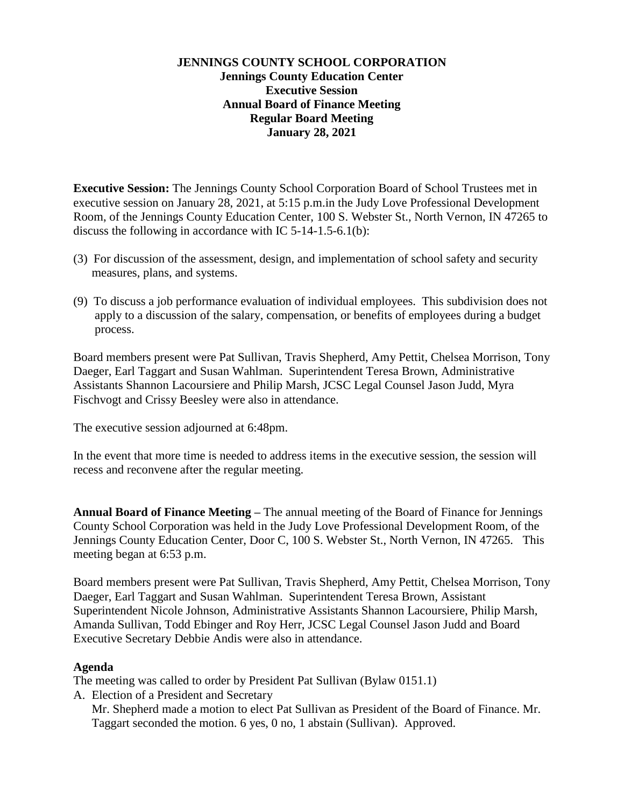## **JENNINGS COUNTY SCHOOL CORPORATION Jennings County Education Center Executive Session Annual Board of Finance Meeting Regular Board Meeting January 28, 2021**

**Executive Session:** The Jennings County School Corporation Board of School Trustees met in executive session on January 28, 2021, at 5:15 p.m.in the Judy Love Professional Development Room, of the Jennings County Education Center, 100 S. Webster St., North Vernon, IN 47265 to discuss the following in accordance with IC 5-14-1.5-6.1(b):

- (3) For discussion of the assessment, design, and implementation of school safety and security measures, plans, and systems.
- (9) To discuss a job performance evaluation of individual employees. This subdivision does not apply to a discussion of the salary, compensation, or benefits of employees during a budget process.

Board members present were Pat Sullivan, Travis Shepherd, Amy Pettit, Chelsea Morrison, Tony Daeger, Earl Taggart and Susan Wahlman. Superintendent Teresa Brown, Administrative Assistants Shannon Lacoursiere and Philip Marsh, JCSC Legal Counsel Jason Judd, Myra Fischvogt and Crissy Beesley were also in attendance.

The executive session adjourned at 6:48pm.

In the event that more time is needed to address items in the executive session, the session will recess and reconvene after the regular meeting.

**Annual Board of Finance Meeting –** The annual meeting of the Board of Finance for Jennings County School Corporation was held in the Judy Love Professional Development Room, of the Jennings County Education Center, Door C, 100 S. Webster St., North Vernon, IN 47265. This meeting began at 6:53 p.m.

Board members present were Pat Sullivan, Travis Shepherd, Amy Pettit, Chelsea Morrison, Tony Daeger, Earl Taggart and Susan Wahlman. Superintendent Teresa Brown, Assistant Superintendent Nicole Johnson, Administrative Assistants Shannon Lacoursiere, Philip Marsh, Amanda Sullivan, Todd Ebinger and Roy Herr, JCSC Legal Counsel Jason Judd and Board Executive Secretary Debbie Andis were also in attendance.

#### **Agenda**

The meeting was called to order by President Pat Sullivan (Bylaw 0151.1)

A. Election of a President and Secretary

Mr. Shepherd made a motion to elect Pat Sullivan as President of the Board of Finance. Mr. Taggart seconded the motion. 6 yes, 0 no, 1 abstain (Sullivan). Approved.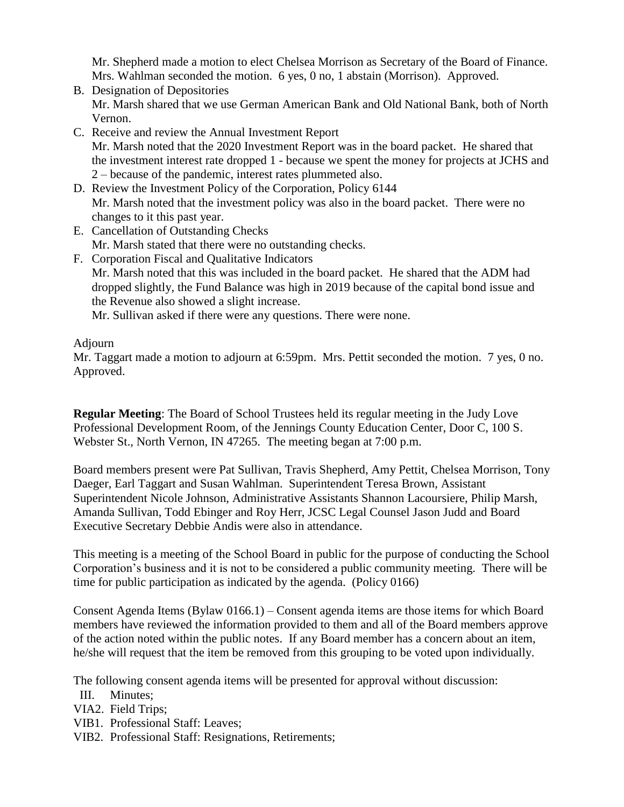Mr. Shepherd made a motion to elect Chelsea Morrison as Secretary of the Board of Finance. Mrs. Wahlman seconded the motion. 6 yes, 0 no, 1 abstain (Morrison). Approved.

- B. Designation of Depositories Mr. Marsh shared that we use German American Bank and Old National Bank, both of North Vernon.
- C. Receive and review the Annual Investment Report Mr. Marsh noted that the 2020 Investment Report was in the board packet. He shared that the investment interest rate dropped 1 - because we spent the money for projects at JCHS and 2 – because of the pandemic, interest rates plummeted also.
- D. Review the Investment Policy of the Corporation, Policy 6144 Mr. Marsh noted that the investment policy was also in the board packet. There were no changes to it this past year.
- E. Cancellation of Outstanding Checks Mr. Marsh stated that there were no outstanding checks.
- F. Corporation Fiscal and Qualitative Indicators Mr. Marsh noted that this was included in the board packet. He shared that the ADM had dropped slightly*,* the Fund Balance was high in 2019 because of the capital bond issue and the Revenue also showed a slight increase.

Mr. Sullivan asked if there were any questions. There were none.

# Adjourn

Mr. Taggart made a motion to adjourn at 6:59pm. Mrs. Pettit seconded the motion. 7 yes, 0 no. Approved.

**Regular Meeting**: The Board of School Trustees held its regular meeting in the Judy Love Professional Development Room, of the Jennings County Education Center, Door C, 100 S. Webster St., North Vernon, IN 47265. The meeting began at 7:00 p.m.

Board members present were Pat Sullivan, Travis Shepherd, Amy Pettit, Chelsea Morrison, Tony Daeger, Earl Taggart and Susan Wahlman. Superintendent Teresa Brown, Assistant Superintendent Nicole Johnson, Administrative Assistants Shannon Lacoursiere, Philip Marsh, Amanda Sullivan, Todd Ebinger and Roy Herr, JCSC Legal Counsel Jason Judd and Board Executive Secretary Debbie Andis were also in attendance.

This meeting is a meeting of the School Board in public for the purpose of conducting the School Corporation's business and it is not to be considered a public community meeting. There will be time for public participation as indicated by the agenda. (Policy 0166)

Consent Agenda Items (Bylaw 0166.1) – Consent agenda items are those items for which Board members have reviewed the information provided to them and all of the Board members approve of the action noted within the public notes. If any Board member has a concern about an item, he/she will request that the item be removed from this grouping to be voted upon individually.

The following consent agenda items will be presented for approval without discussion:

- III. Minutes;
- VIA2. Field Trips;
- VIB1. Professional Staff: Leaves;
- VIB2. Professional Staff: Resignations, Retirements;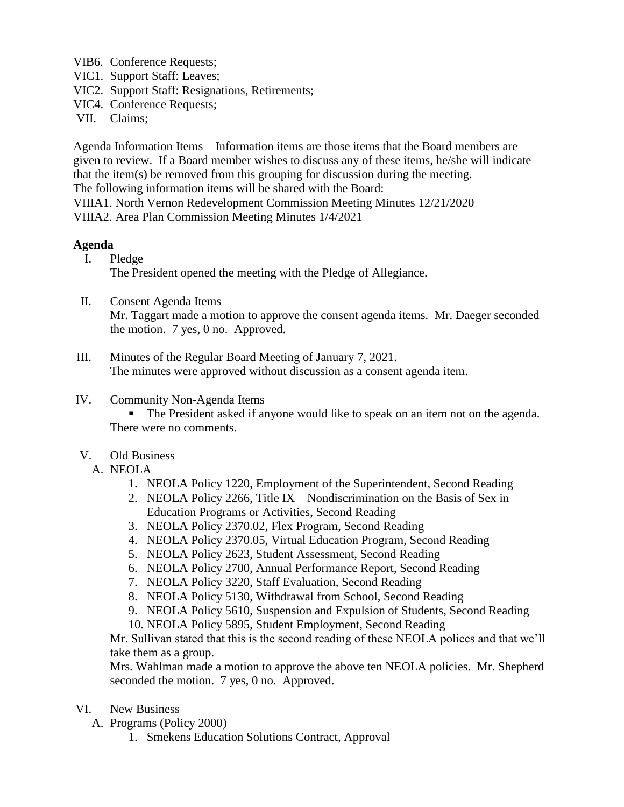VIB6. Conference Requests;

- VIC1. Support Staff: Leaves;
- VIC2. Support Staff: Resignations, Retirements;
- VIC4. Conference Requests;
- VII. Claims;

Agenda Information Items – Information items are those items that the Board members are given to review. If a Board member wishes to discuss any of these items, he/she will indicate that the item(s) be removed from this grouping for discussion during the meeting. The following information items will be shared with the Board: VIIIA1. North Vernon Redevelopment Commission Meeting Minutes 12/21/2020 VIIIA2. Area Plan Commission Meeting Minutes 1/4/2021

#### **Agenda**

- I. Pledge The President opened the meeting with the Pledge of Allegiance.
- II. Consent Agenda Items

Mr. Taggart made a motion to approve the consent agenda items. Mr. Daeger seconded the motion. 7 yes, 0 no. Approved.

- III. Minutes of the Regular Board Meeting of January 7, 2021. The minutes were approved without discussion as a consent agenda item.
- IV. Community Non-Agenda Items
	- The President asked if anyone would like to speak on an item not on the agenda. There were no comments.
- V. Old Business
	- A. NEOLA
		- 1. NEOLA Policy 1220, Employment of the Superintendent, Second Reading
		- 2. NEOLA Policy 2266, Title IX Nondiscrimination on the Basis of Sex in Education Programs or Activities, Second Reading
		- 3. NEOLA Policy 2370.02, Flex Program, Second Reading
		- 4. NEOLA Policy 2370.05, Virtual Education Program, Second Reading
		- 5. NEOLA Policy 2623, Student Assessment, Second Reading
		- 6. NEOLA Policy 2700, Annual Performance Report, Second Reading
		- 7. NEOLA Policy 3220, Staff Evaluation, Second Reading
		- 8. NEOLA Policy 5130, Withdrawal from School, Second Reading
		- 9. NEOLA Policy 5610, Suspension and Expulsion of Students, Second Reading
		- 10. NEOLA Policy 5895, Student Employment, Second Reading

Mr. Sullivan stated that this is the second reading of these NEOLA polices and that we'll take them as a group.

Mrs. Wahlman made a motion to approve the above ten NEOLA policies. Mr. Shepherd seconded the motion. 7 yes, 0 no. Approved.

- VI. New Business
	- A. Programs (Policy 2000)
		- 1. Smekens Education Solutions Contract, Approval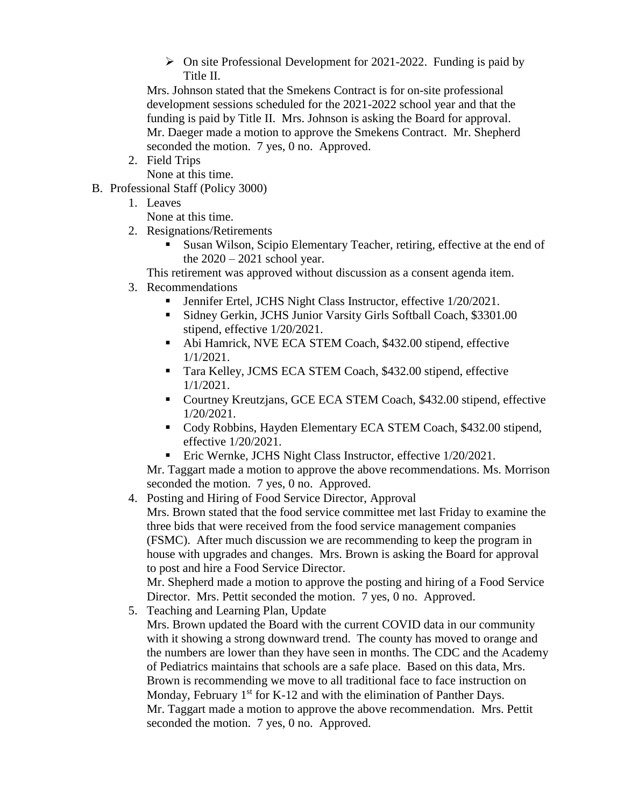$\triangleright$  On site Professional Development for 2021-2022. Funding is paid by Title II.

Mrs. Johnson stated that the Smekens Contract is for on-site professional development sessions scheduled for the 2021-2022 school year and that the funding is paid by Title II. Mrs. Johnson is asking the Board for approval. Mr. Daeger made a motion to approve the Smekens Contract. Mr. Shepherd seconded the motion. 7 yes, 0 no. Approved.

2. Field Trips

None at this time.

- B. Professional Staff (Policy 3000)
	- 1. Leaves
		- None at this time.
	- 2. Resignations/Retirements
		- Susan Wilson, Scipio Elementary Teacher, retiring, effective at the end of the  $2020 - 2021$  school year.

This retirement was approved without discussion as a consent agenda item.

- 3. Recommendations
	- Jennifer Ertel, JCHS Night Class Instructor, effective 1/20/2021.
	- Sidney Gerkin, JCHS Junior Varsity Girls Softball Coach, \$3301.00 stipend, effective 1/20/2021.
	- Abi Hamrick, NVE ECA STEM Coach, \$432.00 stipend, effective 1/1/2021.
	- Tara Kelley, JCMS ECA STEM Coach, \$432.00 stipend, effective 1/1/2021.
	- Courtney Kreutzjans, GCE ECA STEM Coach, \$432.00 stipend, effective 1/20/2021.
	- Cody Robbins, Hayden Elementary ECA STEM Coach, \$432.00 stipend, effective 1/20/2021.
	- Eric Wernke, JCHS Night Class Instructor, effective 1/20/2021.

Mr. Taggart made a motion to approve the above recommendations. Ms. Morrison seconded the motion. 7 yes, 0 no. Approved.

4. Posting and Hiring of Food Service Director, Approval Mrs. Brown stated that the food service committee met last Friday to examine the three bids that were received from the food service management companies (FSMC). After much discussion we are recommending to keep the program in house with upgrades and changes. Mrs. Brown is asking the Board for approval to post and hire a Food Service Director. Mr. Shepherd made a motion to approve the posting and hiring of a Food Service

Director. Mrs. Pettit seconded the motion. 7 yes, 0 no. Approved.

- 5. Teaching and Learning Plan, Update
	- Mrs. Brown updated the Board with the current COVID data in our community with it showing a strong downward trend. The county has moved to orange and the numbers are lower than they have seen in months. The CDC and the Academy of Pediatrics maintains that schools are a safe place. Based on this data, Mrs. Brown is recommending we move to all traditional face to face instruction on Monday, February  $1<sup>st</sup>$  for K-12 and with the elimination of Panther Days. Mr. Taggart made a motion to approve the above recommendation. Mrs. Pettit seconded the motion. 7 yes, 0 no. Approved.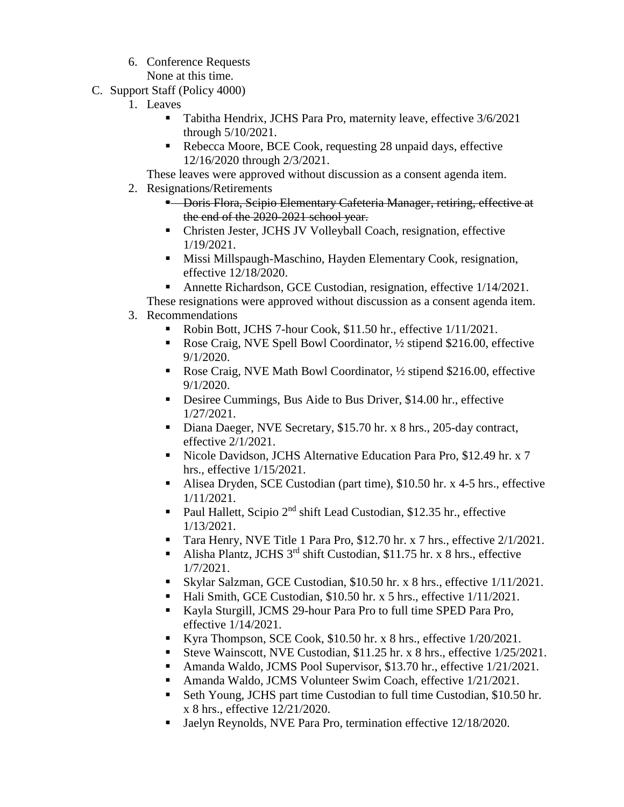6. Conference Requests

None at this time.

- C. Support Staff (Policy 4000)
	- 1. Leaves
		- Tabitha Hendrix, JCHS Para Pro, maternity leave, effective 3/6/2021 through 5/10/2021.
		- Rebecca Moore, BCE Cook, requesting 28 unpaid days, effective 12/16/2020 through 2/3/2021.

These leaves were approved without discussion as a consent agenda item.

- 2. Resignations/Retirements
	- **E** Doris Flora, Scipio Elementary Cafeteria Manager, retiring, effective at the end of the 2020-2021 school year.
	- Christen Jester, JCHS JV Volleyball Coach, resignation, effective 1/19/2021.
	- **Missi Millspaugh-Maschino, Hayden Elementary Cook, resignation,** effective 12/18/2020.
	- Annette Richardson, GCE Custodian, resignation, effective 1/14/2021.
- These resignations were approved without discussion as a consent agenda item.
- 3. Recommendations
	- Robin Bott, JCHS 7-hour Cook, \$11.50 hr., effective 1/11/2021.
	- Rose Craig, NVE Spell Bowl Coordinator, ½ stipend \$216.00, effective 9/1/2020.
	- Rose Craig, NVE Math Bowl Coordinator, ½ stipend \$216.00, effective 9/1/2020.
	- Desiree Cummings, Bus Aide to Bus Driver, \$14.00 hr., effective 1/27/2021.
	- Diana Daeger, NVE Secretary, \$15.70 hr. x 8 hrs., 205-day contract, effective 2/1/2021.
	- Nicole Davidson, JCHS Alternative Education Para Pro, \$12.49 hr. x 7 hrs., effective 1/15/2021.
	- Alisea Dryden, SCE Custodian (part time), \$10.50 hr. x 4-5 hrs., effective 1/11/2021.
	- Paul Hallett, Scipio  $2^{nd}$  shift Lead Custodian, \$12.35 hr., effective 1/13/2021.
	- Tara Henry, NVE Title 1 Para Pro, \$12.70 hr. x 7 hrs., effective 2/1/2021.
	- Alisha Plantz, JCHS  $3^{rd}$  shift Custodian, \$11.75 hr. x 8 hrs., effective 1/7/2021.
	- Skylar Salzman, GCE Custodian, \$10.50 hr. x 8 hrs., effective 1/11/2021.
	- Hali Smith, GCE Custodian, \$10.50 hr. x 5 hrs., effective 1/11/2021.
	- Kayla Sturgill, JCMS 29-hour Para Pro to full time SPED Para Pro, effective 1/14/2021.
	- Kyra Thompson, SCE Cook, \$10.50 hr. x 8 hrs., effective  $1/20/2021$ .
	- Steve Wainscott, NVE Custodian, \$11.25 hr. x 8 hrs., effective 1/25/2021.
	- Amanda Waldo, JCMS Pool Supervisor, \$13.70 hr., effective 1/21/2021.
	- Amanda Waldo, JCMS Volunteer Swim Coach, effective 1/21/2021.
	- Seth Young, JCHS part time Custodian to full time Custodian, \$10.50 hr. x 8 hrs., effective 12/21/2020.
	- Jaelyn Reynolds, NVE Para Pro, termination effective 12/18/2020.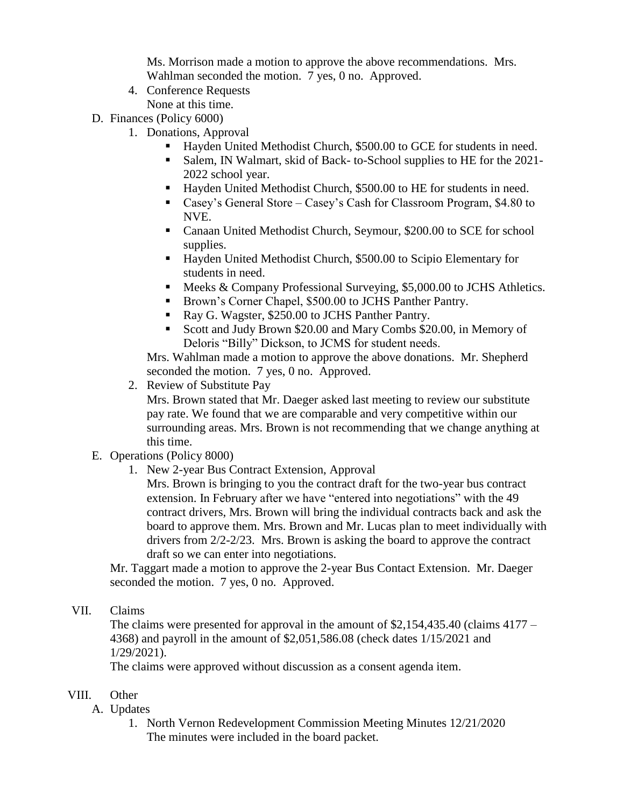Ms. Morrison made a motion to approve the above recommendations. Mrs. Wahlman seconded the motion. 7 yes, 0 no. Approved.

- 4. Conference Requests None at this time.
- D. Finances (Policy 6000)
	- 1. Donations, Approval
		- Hayden United Methodist Church, \$500.00 to GCE for students in need.
		- Salem, IN Walmart, skid of Back- to-School supplies to HE for the 2021- 2022 school year.
		- Hayden United Methodist Church, \$500.00 to HE for students in need.
		- Casey's General Store Casey's Cash for Classroom Program, \$4.80 to NVE.
		- Canaan United Methodist Church, Seymour, \$200.00 to SCE for school supplies.
		- Hayden United Methodist Church, \$500.00 to Scipio Elementary for students in need.
		- Meeks & Company Professional Surveying, \$5,000.00 to JCHS Athletics.
		- Brown's Corner Chapel, \$500.00 to JCHS Panther Pantry.
		- Ray G. Wagster, \$250.00 to JCHS Panther Pantry.
		- Scott and Judy Brown \$20.00 and Mary Combs \$20.00, in Memory of Deloris "Billy" Dickson, to JCMS for student needs.

Mrs. Wahlman made a motion to approve the above donations. Mr. Shepherd seconded the motion. 7 yes, 0 no. Approved.

2. Review of Substitute Pay

Mrs. Brown stated that Mr. Daeger asked last meeting to review our substitute pay rate. We found that we are comparable and very competitive within our surrounding areas. Mrs. Brown is not recommending that we change anything at this time.

- E. Operations (Policy 8000)
	- 1. New 2-year Bus Contract Extension, Approval

Mrs. Brown is bringing to you the contract draft for the two-year bus contract extension. In February after we have "entered into negotiations" with the 49 contract drivers, Mrs. Brown will bring the individual contracts back and ask the board to approve them. Mrs. Brown and Mr. Lucas plan to meet individually with drivers from 2/2-2/23. Mrs. Brown is asking the board to approve the contract draft so we can enter into negotiations.

Mr. Taggart made a motion to approve the 2-year Bus Contact Extension. Mr. Daeger seconded the motion. 7 yes, 0 no. Approved.

VII. Claims

The claims were presented for approval in the amount of \$2,154,435.40 (claims 4177 – 4368) and payroll in the amount of \$2,051,586.08 (check dates 1/15/2021 and 1/29/2021).

The claims were approved without discussion as a consent agenda item.

## VIII. Other

- A. Updates
	- 1. North Vernon Redevelopment Commission Meeting Minutes 12/21/2020 The minutes were included in the board packet.